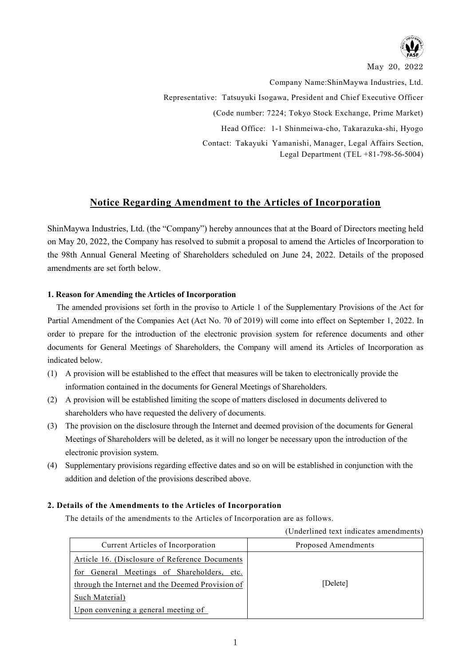

May 20, 2022

Company Name:ShinMaywa Industries, Ltd. Representative: Tatsuyuki Isogawa, President and Chief Executive Officer (Code number: 7224; Tokyo Stock Exchange, Prime Market) Head Office: 1-1 Shinmeiwa-cho, Takarazuka-shi, Hyogo Contact: Takayuki Yamanishi, Manager, Legal Affairs Section, Legal Department (TEL +81-798-56-5004)

## **Notice Regarding Amendment to the Articles of Incorporation**

ShinMaywa Industries, Ltd. (the "Company") hereby announces that at the Board of Directors meeting held on May 20, 2022, the Company has resolved to submit a proposal to amend the Articles of Incorporation to the 98th Annual General Meeting of Shareholders scheduled on June 24, 2022. Details of the proposed amendments are set forth below.

### **1. Reason for Amending the Articles of Incorporation**

The amended provisions set forth in the proviso to Article 1 of the Supplementary Provisions of the Act for Partial Amendment of the Companies Act (Act No. 70 of 2019) will come into effect on September 1, 2022. In order to prepare for the introduction of the electronic provision system for reference documents and other documents for General Meetings of Shareholders, the Company will amend its Articles of Incorporation as indicated below.

- (1) A provision will be established to the effect that measures will be taken to electronically provide the information contained in the documents for General Meetings of Shareholders.
- (2) A provision will be established limiting the scope of matters disclosed in documents delivered to shareholders who have requested the delivery of documents.
- (3) The provision on the disclosure through the Internet and deemed provision of the documents for General Meetings of Shareholders will be deleted, as it will no longer be necessary upon the introduction of the electronic provision system.
- (4) Supplementary provisions regarding effective dates and so on will be established in conjunction with the addition and deletion of the provisions described above.

## **2. Details of the Amendments to the Articles of Incorporation**

The details of the amendments to the Articles of Incorporation are as follows.

#### (Underlined text indicates amendments)

| Current Articles of Incorporation                | Proposed Amendments |
|--------------------------------------------------|---------------------|
| Article 16. (Disclosure of Reference Documents   |                     |
| for General Meetings of Shareholders, etc.       |                     |
| through the Internet and the Deemed Provision of | [Delete]            |
| Such Material)                                   |                     |
| Upon convening a general meeting of              |                     |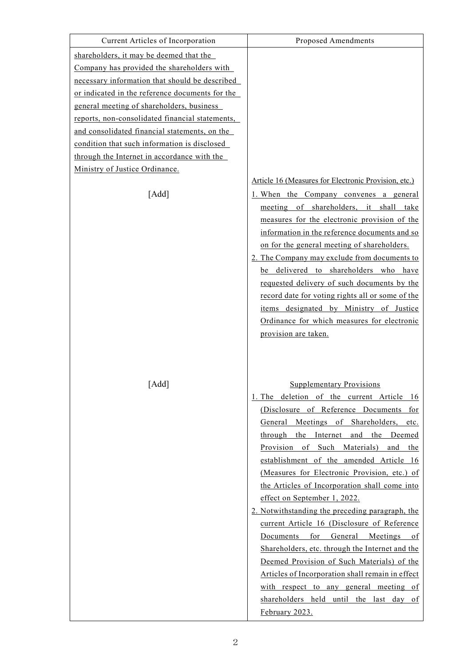| Current Articles of Incorporation               | <b>Proposed Amendments</b>                                                                                                                                                                                                                                                                                                                                                                                                                                                                                                                                                                                                                                                                                                                                                                                                                 |
|-------------------------------------------------|--------------------------------------------------------------------------------------------------------------------------------------------------------------------------------------------------------------------------------------------------------------------------------------------------------------------------------------------------------------------------------------------------------------------------------------------------------------------------------------------------------------------------------------------------------------------------------------------------------------------------------------------------------------------------------------------------------------------------------------------------------------------------------------------------------------------------------------------|
| shareholders, it may be deemed that the         |                                                                                                                                                                                                                                                                                                                                                                                                                                                                                                                                                                                                                                                                                                                                                                                                                                            |
| Company has provided the shareholders with      |                                                                                                                                                                                                                                                                                                                                                                                                                                                                                                                                                                                                                                                                                                                                                                                                                                            |
| necessary information that should be described  |                                                                                                                                                                                                                                                                                                                                                                                                                                                                                                                                                                                                                                                                                                                                                                                                                                            |
| or indicated in the reference documents for the |                                                                                                                                                                                                                                                                                                                                                                                                                                                                                                                                                                                                                                                                                                                                                                                                                                            |
| general meeting of shareholders, business       |                                                                                                                                                                                                                                                                                                                                                                                                                                                                                                                                                                                                                                                                                                                                                                                                                                            |
| reports, non-consolidated financial statements, |                                                                                                                                                                                                                                                                                                                                                                                                                                                                                                                                                                                                                                                                                                                                                                                                                                            |
| and consolidated financial statements, on the   |                                                                                                                                                                                                                                                                                                                                                                                                                                                                                                                                                                                                                                                                                                                                                                                                                                            |
| condition that such information is disclosed    |                                                                                                                                                                                                                                                                                                                                                                                                                                                                                                                                                                                                                                                                                                                                                                                                                                            |
| through the Internet in accordance with the     |                                                                                                                                                                                                                                                                                                                                                                                                                                                                                                                                                                                                                                                                                                                                                                                                                                            |
| Ministry of Justice Ordinance.                  |                                                                                                                                                                                                                                                                                                                                                                                                                                                                                                                                                                                                                                                                                                                                                                                                                                            |
|                                                 | Article 16 (Measures for Electronic Provision, etc.)                                                                                                                                                                                                                                                                                                                                                                                                                                                                                                                                                                                                                                                                                                                                                                                       |
| [Add]                                           | 1. When the Company convenes a general<br>meeting of shareholders, it shall<br>take<br>measures for the electronic provision of the<br>information in the reference documents and so<br>on for the general meeting of shareholders.<br>2. The Company may exclude from documents to<br>be delivered to shareholders who have<br>requested delivery of such documents by the<br>record date for voting rights all or some of the<br>items designated by Ministry of Justice<br>Ordinance for which measures for electronic<br>provision are taken.                                                                                                                                                                                                                                                                                          |
| [Add]                                           | <b>Supplementary Provisions</b><br>1. The deletion of the current Article 16<br>(Disclosure of Reference Documents for<br>General Meetings of Shareholders,<br>etc.<br>through the Internet<br>and the Deemed<br>Provision<br>of Such Materials)<br>and the<br>establishment of the amended Article 16<br>(Measures for Electronic Provision, etc.) of<br>the Articles of Incorporation shall come into<br>effect on September 1, 2022.<br>2. Notwithstanding the preceding paragraph, the<br>current Article 16 (Disclosure of Reference<br>Documents for General Meetings of<br>Shareholders, etc. through the Internet and the<br>Deemed Provision of Such Materials) of the<br>Articles of Incorporation shall remain in effect<br>with respect to any general meeting of<br>shareholders held until the last day of<br>February 2023. |